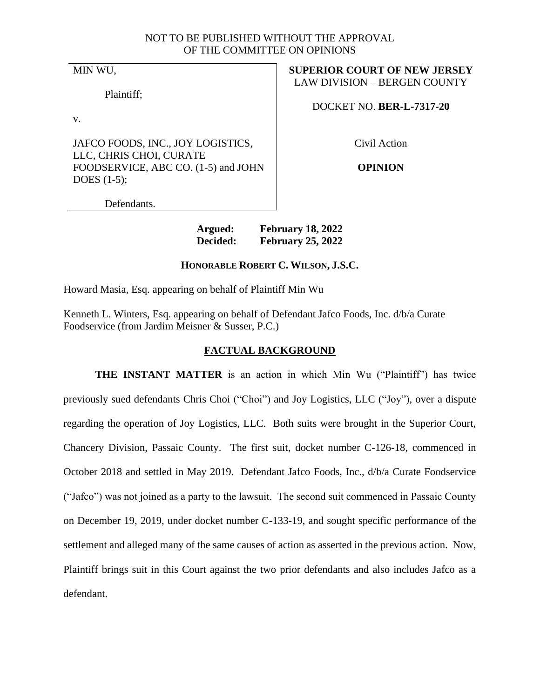## NOT TO BE PUBLISHED WITHOUT THE APPROVAL OF THE COMMITTEE ON OPINIONS

MIN WU,

Plaintiff;

v.

JAFCO FOODS, INC., JOY LOGISTICS, LLC, CHRIS CHOI, CURATE FOODSERVICE, ABC CO. (1-5) and JOHN DOES (1-5);

**SUPERIOR COURT OF NEW JERSEY** LAW DIVISION – BERGEN COUNTY

DOCKET NO. **BER-L-7317-20**

Civil Action

**OPINION**

Defendants.

**Argued: February 18, 2022 Decided: February 25, 2022**

# **HONORABLE ROBERT C. WILSON, J.S.C.**

Howard Masia, Esq. appearing on behalf of Plaintiff Min Wu

Kenneth L. Winters, Esq. appearing on behalf of Defendant Jafco Foods, Inc. d/b/a Curate Foodservice (from Jardim Meisner & Susser, P.C.)

## **FACTUAL BACKGROUND**

**THE INSTANT MATTER** is an action in which Min Wu ("Plaintiff") has twice previously sued defendants Chris Choi ("Choi") and Joy Logistics, LLC ("Joy"), over a dispute regarding the operation of Joy Logistics, LLC. Both suits were brought in the Superior Court, Chancery Division, Passaic County. The first suit, docket number C-126-18, commenced in October 2018 and settled in May 2019. Defendant Jafco Foods, Inc., d/b/a Curate Foodservice ("Jafco") was not joined as a party to the lawsuit. The second suit commenced in Passaic County on December 19, 2019, under docket number C-133-19, and sought specific performance of the settlement and alleged many of the same causes of action as asserted in the previous action. Now, Plaintiff brings suit in this Court against the two prior defendants and also includes Jafco as a defendant.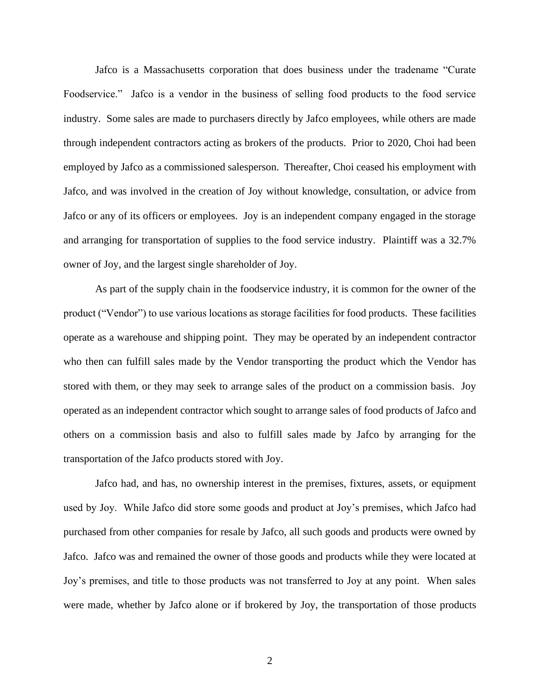Jafco is a Massachusetts corporation that does business under the tradename "Curate Foodservice." Jafco is a vendor in the business of selling food products to the food service industry. Some sales are made to purchasers directly by Jafco employees, while others are made through independent contractors acting as brokers of the products. Prior to 2020, Choi had been employed by Jafco as a commissioned salesperson. Thereafter, Choi ceased his employment with Jafco, and was involved in the creation of Joy without knowledge, consultation, or advice from Jafco or any of its officers or employees. Joy is an independent company engaged in the storage and arranging for transportation of supplies to the food service industry. Plaintiff was a 32.7% owner of Joy, and the largest single shareholder of Joy.

As part of the supply chain in the foodservice industry, it is common for the owner of the product ("Vendor") to use various locations as storage facilities for food products. These facilities operate as a warehouse and shipping point. They may be operated by an independent contractor who then can fulfill sales made by the Vendor transporting the product which the Vendor has stored with them, or they may seek to arrange sales of the product on a commission basis. Joy operated as an independent contractor which sought to arrange sales of food products of Jafco and others on a commission basis and also to fulfill sales made by Jafco by arranging for the transportation of the Jafco products stored with Joy.

Jafco had, and has, no ownership interest in the premises, fixtures, assets, or equipment used by Joy. While Jafco did store some goods and product at Joy's premises, which Jafco had purchased from other companies for resale by Jafco, all such goods and products were owned by Jafco. Jafco was and remained the owner of those goods and products while they were located at Joy's premises, and title to those products was not transferred to Joy at any point. When sales were made, whether by Jafco alone or if brokered by Joy, the transportation of those products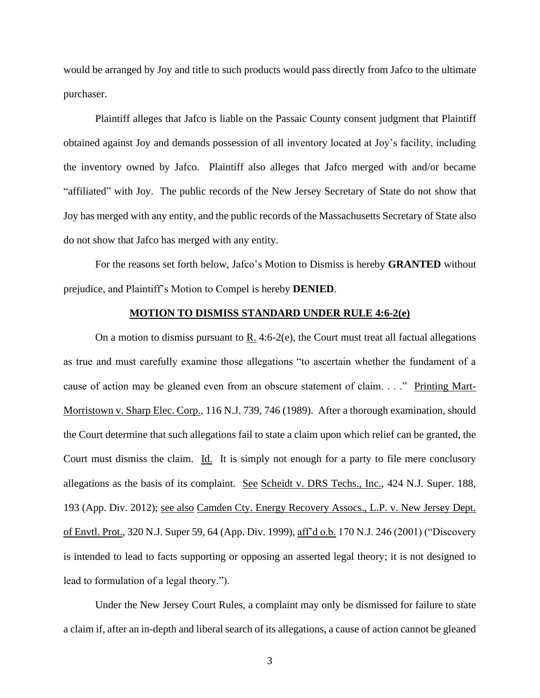would be arranged by Joy and title to such products would pass directly from Jafco to the ultimate purchaser.

Plaintiff alleges that Jafco is liable on the Passaic County consent judgment that Plaintiff obtained against Joy and demands possession of all inventory located at Joy's facility, including the inventory owned by Jafco. Plaintiff also alleges that Jafco merged with and/or became "affiliated" with Joy. The public records of the New Jersey Secretary of State do not show that Joy has merged with any entity, and the public records of the Massachusetts Secretary of State also do not show that Jafco has merged with any entity.

For the reasons set forth below, Jafco's Motion to Dismiss is hereby **GRANTED** without prejudice, and Plaintiff's Motion to Compel is hereby **DENIED**.

### **MOTION TO DISMISS STANDARD UNDER RULE 4:6-2(e)**

On a motion to dismiss pursuant to  $R_1$ . 4:6-2(e), the Court must treat all factual allegations as true and must carefully examine those allegations "to ascertain whether the fundament of a cause of action may be gleaned even from an obscure statement of claim. . . ." Printing Mart-Morristown v. Sharp Elec. Corp., 116 N.J. 739, 746 (1989). After a thorough examination, should the Court determine that such allegations fail to state a claim upon which relief can be granted, the Court must dismiss the claim. Id. It is simply not enough for a party to file mere conclusory allegations as the basis of its complaint. See Scheidt v. DRS Techs., Inc., 424 N.J. Super. 188, 193 (App. Div. 2012); see also Camden Cty. Energy Recovery Assocs., L.P. v. New Jersey Dept. of Envtl. Prot., 320 N.J. Super 59, 64 (App. Div. 1999), aff'd o.b. 170 N.J. 246 (2001) ("Discovery is intended to lead to facts supporting or opposing an asserted legal theory; it is not designed to lead to formulation of a legal theory.").

Under the New Jersey Court Rules, a complaint may only be dismissed for failure to state a claim if, after an in-depth and liberal search of its allegations, a cause of action cannot be gleaned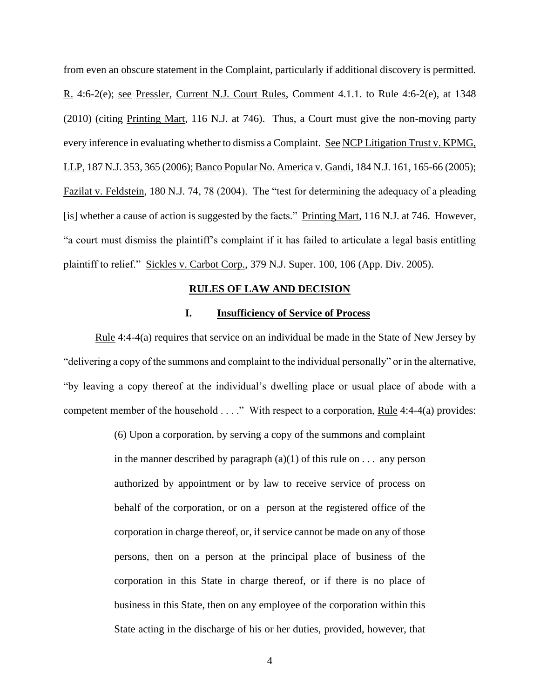from even an obscure statement in the Complaint, particularly if additional discovery is permitted. R. 4:6-2(e); see Pressler, Current N.J. Court Rules, Comment 4.1.1. to Rule 4:6-2(e), at 1348 (2010) (citing Printing Mart, 116 N.J. at 746). Thus, a Court must give the non-moving party every inference in evaluating whether to dismiss a Complaint. See NCP Litigation Trust v. KPMG, LLP, 187 N.J. 353, 365 (2006); Banco Popular No. America v. Gandi, 184 N.J. 161, 165-66 (2005); Fazilat v. Feldstein, 180 N.J. 74, 78 (2004). The "test for determining the adequacy of a pleading [is] whether a cause of action is suggested by the facts." Printing Mart, 116 N.J. at 746. However, "a court must dismiss the plaintiff's complaint if it has failed to articulate a legal basis entitling plaintiff to relief." Sickles v. Carbot Corp., 379 N.J. Super. 100, 106 (App. Div. 2005).

#### **RULES OF LAW AND DECISION**

### **I. Insufficiency of Service of Process**

Rule 4:4-4(a) requires that service on an individual be made in the State of New Jersey by "delivering a copy of the summons and complaint to the individual personally" or in the alternative, "by leaving a copy thereof at the individual's dwelling place or usual place of abode with a competent member of the household  $\dots$ ." With respect to a corporation, Rule 4:4-4(a) provides:

> (6) Upon a corporation, by serving a copy of the summons and complaint in the manner described by paragraph  $(a)(1)$  of this rule on . . . any person authorized by appointment or by law to receive service of process on behalf of the corporation, or on a person at the registered office of the corporation in charge thereof, or, if service cannot be made on any of those persons, then on a person at the principal place of business of the corporation in this State in charge thereof, or if there is no place of business in this State, then on any employee of the corporation within this State acting in the discharge of his or her duties, provided, however, that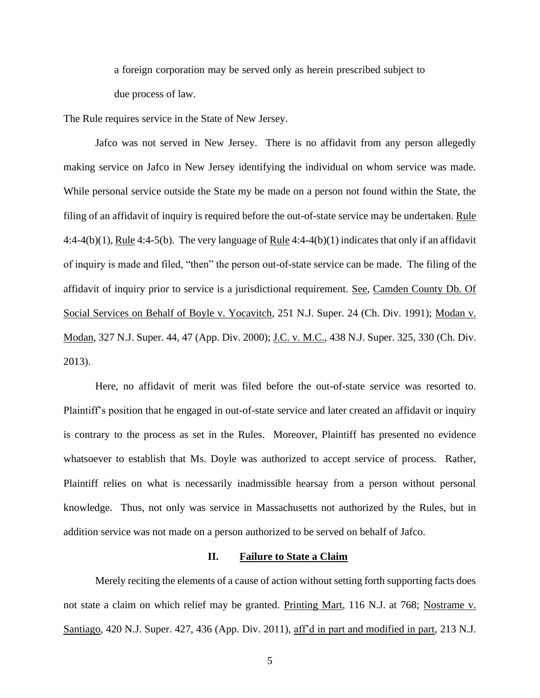a foreign corporation may be served only as herein prescribed subject to due process of law.

The Rule requires service in the State of New Jersey.

Jafco was not served in New Jersey. There is no affidavit from any person allegedly making service on Jafco in New Jersey identifying the individual on whom service was made. While personal service outside the State my be made on a person not found within the State, the filing of an affidavit of inquiry is required before the out-of-state service may be undertaken. Rule 4:4-4(b)(1), Rule 4:4-5(b). The very language of Rule 4:4-4(b)(1) indicates that only if an affidavit of inquiry is made and filed, "then" the person out-of-state service can be made. The filing of the affidavit of inquiry prior to service is a jurisdictional requirement. See, Camden County Db. Of Social Services on Behalf of Boyle v. Yocavitch, 251 N.J. Super. 24 (Ch. Div. 1991); Modan v. Modan, 327 N.J. Super. 44, 47 (App. Div. 2000); J.C. v. M.C., 438 N.J. Super. 325, 330 (Ch. Div. 2013).

Here, no affidavit of merit was filed before the out-of-state service was resorted to. Plaintiff's position that he engaged in out-of-state service and later created an affidavit or inquiry is contrary to the process as set in the Rules. Moreover, Plaintiff has presented no evidence whatsoever to establish that Ms. Doyle was authorized to accept service of process. Rather, Plaintiff relies on what is necessarily inadmissible hearsay from a person without personal knowledge. Thus, not only was service in Massachusetts not authorized by the Rules, but in addition service was not made on a person authorized to be served on behalf of Jafco.

## **II. Failure to State a Claim**

Merely reciting the elements of a cause of action without setting forth supporting facts does not state a claim on which relief may be granted. Printing Mart, 116 N.J. at 768; Nostrame v. Santiago, 420 N.J. Super. 427, 436 (App. Div. 2011), aff'd in part and modified in part, 213 N.J.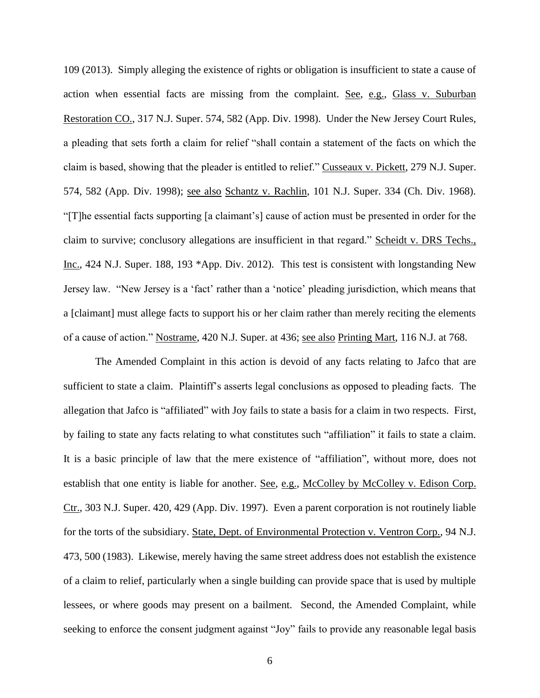109 (2013). Simply alleging the existence of rights or obligation is insufficient to state a cause of action when essential facts are missing from the complaint. See, e.g., Glass v. Suburban Restoration CO., 317 N.J. Super. 574, 582 (App. Div. 1998). Under the New Jersey Court Rules, a pleading that sets forth a claim for relief "shall contain a statement of the facts on which the claim is based, showing that the pleader is entitled to relief." Cusseaux v. Pickett, 279 N.J. Super. 574, 582 (App. Div. 1998); see also Schantz v. Rachlin, 101 N.J. Super. 334 (Ch. Div. 1968). "[T]he essential facts supporting [a claimant's] cause of action must be presented in order for the claim to survive; conclusory allegations are insufficient in that regard." Scheidt v. DRS Techs., Inc., 424 N.J. Super. 188, 193 \*App. Div. 2012). This test is consistent with longstanding New Jersey law. "New Jersey is a 'fact' rather than a 'notice' pleading jurisdiction, which means that a [claimant] must allege facts to support his or her claim rather than merely reciting the elements of a cause of action." Nostrame, 420 N.J. Super. at 436; see also Printing Mart, 116 N.J. at 768.

The Amended Complaint in this action is devoid of any facts relating to Jafco that are sufficient to state a claim. Plaintiff's asserts legal conclusions as opposed to pleading facts. The allegation that Jafco is "affiliated" with Joy fails to state a basis for a claim in two respects. First, by failing to state any facts relating to what constitutes such "affiliation" it fails to state a claim. It is a basic principle of law that the mere existence of "affiliation", without more, does not establish that one entity is liable for another. See, e.g., McColley by McColley v. Edison Corp. Ctr., 303 N.J. Super. 420, 429 (App. Div. 1997). Even a parent corporation is not routinely liable for the torts of the subsidiary. State, Dept. of Environmental Protection v. Ventron Corp., 94 N.J. 473, 500 (1983). Likewise, merely having the same street address does not establish the existence of a claim to relief, particularly when a single building can provide space that is used by multiple lessees, or where goods may present on a bailment. Second, the Amended Complaint, while seeking to enforce the consent judgment against "Joy" fails to provide any reasonable legal basis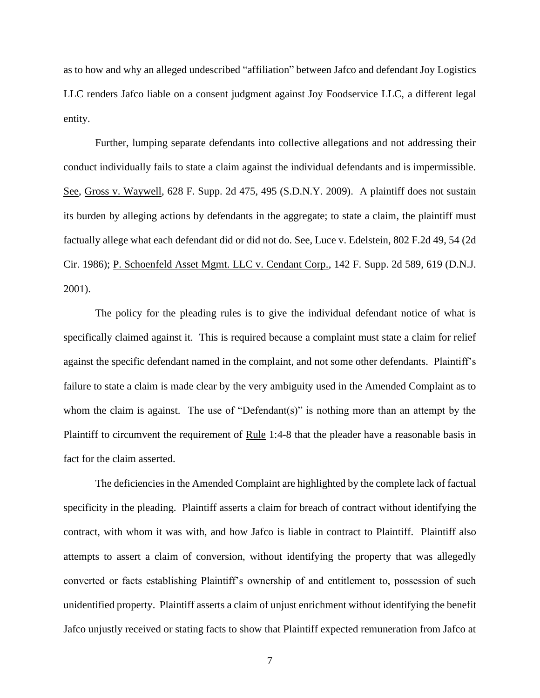as to how and why an alleged undescribed "affiliation" between Jafco and defendant Joy Logistics LLC renders Jafco liable on a consent judgment against Joy Foodservice LLC, a different legal entity.

Further, lumping separate defendants into collective allegations and not addressing their conduct individually fails to state a claim against the individual defendants and is impermissible. See, Gross v. Waywell, 628 F. Supp. 2d 475, 495 (S.D.N.Y. 2009). A plaintiff does not sustain its burden by alleging actions by defendants in the aggregate; to state a claim, the plaintiff must factually allege what each defendant did or did not do. See, Luce v. Edelstein, 802 F.2d 49, 54 (2d Cir. 1986); P. Schoenfeld Asset Mgmt. LLC v. Cendant Corp., 142 F. Supp. 2d 589, 619 (D.N.J. 2001).

The policy for the pleading rules is to give the individual defendant notice of what is specifically claimed against it. This is required because a complaint must state a claim for relief against the specific defendant named in the complaint, and not some other defendants. Plaintiff's failure to state a claim is made clear by the very ambiguity used in the Amended Complaint as to whom the claim is against. The use of "Defendant(s)" is nothing more than an attempt by the Plaintiff to circumvent the requirement of Rule 1:4-8 that the pleader have a reasonable basis in fact for the claim asserted.

The deficiencies in the Amended Complaint are highlighted by the complete lack of factual specificity in the pleading. Plaintiff asserts a claim for breach of contract without identifying the contract, with whom it was with, and how Jafco is liable in contract to Plaintiff. Plaintiff also attempts to assert a claim of conversion, without identifying the property that was allegedly converted or facts establishing Plaintiff's ownership of and entitlement to, possession of such unidentified property. Plaintiff asserts a claim of unjust enrichment without identifying the benefit Jafco unjustly received or stating facts to show that Plaintiff expected remuneration from Jafco at